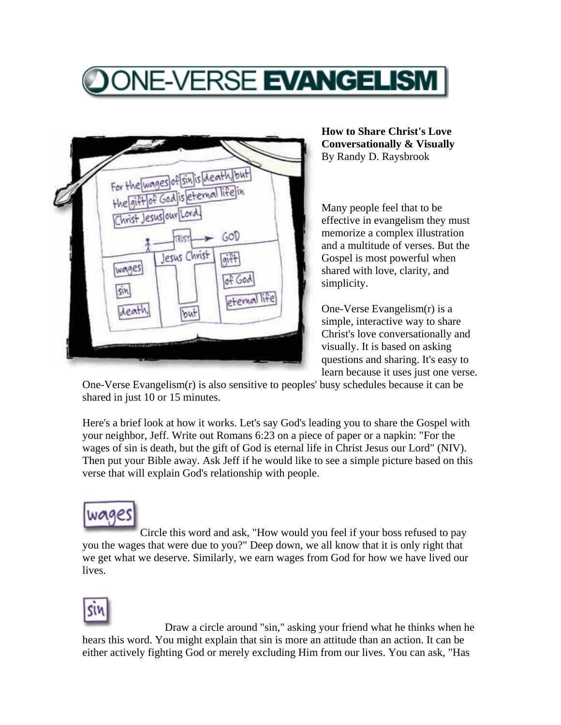# **JE-VERSE EVANGELISM**



**How to Share Christ's Love Conversationally & Visually** By Randy D. Raysbrook

Many people feel that to be effective in evangelism they must memorize a complex illustration and a multitude of verses. But the Gospel is most powerful when shared with love, clarity, and simplicity.

One-Verse Evangelism(r) is a simple, interactive way to share Christ's love conversationally and visually. It is based on asking questions and sharing. It's easy to learn because it uses just one verse.

One-Verse Evangelism(r) is also sensitive to peoples' busy schedules because it can be shared in just 10 or 15 minutes.

Here's a brief look at how it works. Let's say God's leading you to share the Gospel with your neighbor, Jeff. Write out Romans 6:23 on a piece of paper or a napkin: "For the wages of sin is death, but the gift of God is eternal life in Christ Jesus our Lord" (NIV). Then put your Bible away. Ask Jeff if he would like to see a simple picture based on this verse that will explain God's relationship with people.

# waaes

Circle this word and ask, "How would you feel if your boss refused to pay you the wages that were due to you?" Deep down, we all know that it is only right that we get what we deserve. Similarly, we earn wages from God for how we have lived our lives.



Draw a circle around "sin," asking your friend what he thinks when he hears this word. You might explain that sin is more an attitude than an action. It can be either actively fighting God or merely excluding Him from our lives. You can ask, "Has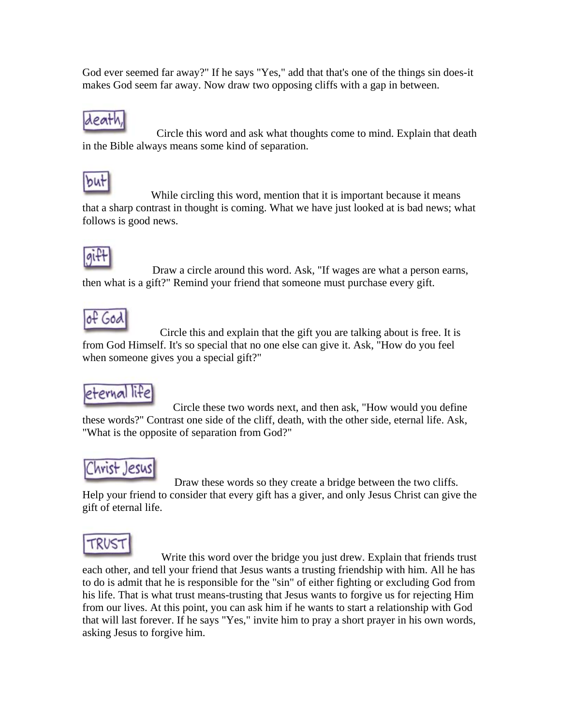God ever seemed far away?" If he says "Yes," add that that's one of the things sin does-it makes God seem far away. Now draw two opposing cliffs with a gap in between.

Circle this word and ask what thoughts come to mind. Explain that death in the Bible always means some kind of separation.



While circling this word, mention that it is important because it means that a sharp contrast in thought is coming. What we have just looked at is bad news; what follows is good news.



Draw a circle around this word. Ask, "If wages are what a person earns, then what is a gift?" Remind your friend that someone must purchase every gift.

# $0 + 600$

Circle this and explain that the gift you are talking about is free. It is from God Himself. It's so special that no one else can give it. Ask, "How do you feel when someone gives you a special gift?"

## eternal life

Circle these two words next, and then ask, "How would you define these words?" Contrast one side of the cliff, death, with the other side, eternal life. Ask, "What is the opposite of separation from God?"

## hrist Jesu

Draw these words so they create a bridge between the two cliffs. Help your friend to consider that every gift has a giver, and only Jesus Christ can give the gift of eternal life.

### TRUS-

Write this word over the bridge you just drew. Explain that friends trust each other, and tell your friend that Jesus wants a trusting friendship with him. All he has to do is admit that he is responsible for the "sin" of either fighting or excluding God from his life. That is what trust means-trusting that Jesus wants to forgive us for rejecting Him from our lives. At this point, you can ask him if he wants to start a relationship with God that will last forever. If he says "Yes," invite him to pray a short prayer in his own words, asking Jesus to forgive him.